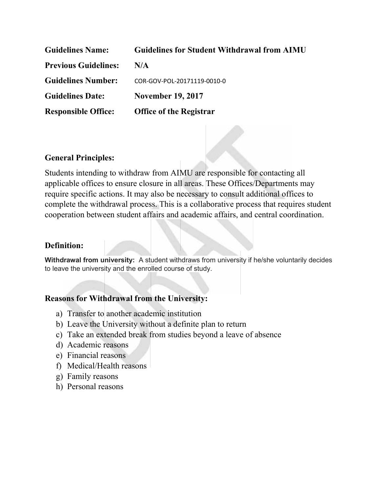| <b>Guidelines Name:</b>     | <b>Guidelines for Student Withdrawal from AIMU</b> |
|-----------------------------|----------------------------------------------------|
| <b>Previous Guidelines:</b> | N/A                                                |
| <b>Guidelines Number:</b>   | COR-GOV-POL-20171119-0010-0                        |
| <b>Guidelines Date:</b>     | <b>November 19, 2017</b>                           |
| <b>Responsible Office:</b>  | <b>Office of the Registrar</b>                     |

## **General Principles:**

Students intending to withdraw from AIMU are responsible for contacting all applicable offices to ensure closure in all areas. These Offices/Departments may require specific actions. It may also be necessary to consult additional offices to complete the withdrawal process. This is a collaborative process that requires student cooperation between student affairs and academic affairs, and central coordination.

## **Definition:**

**Withdrawal from university:** A student withdraws from university if he/she voluntarily decides to leave the university and the enrolled course of study.

## **Reasons for Withdrawal from the University:**

- a) Transfer to another academic institution
- b) Leave the University without a definite plan to return
- c) Take an extended break from studies beyond a leave of absence
- d) Academic reasons
- e) Financial reasons
- f) Medical/Health reasons
- g) Family reasons
- h) Personal reasons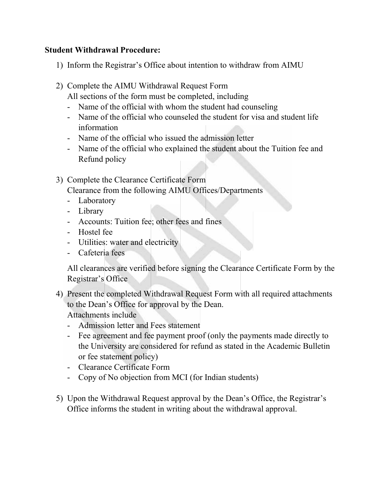## **Student Withdrawal Procedure:**

- 1) Inform the Registrar's Office about intention to withdraw from AIMU
- 2) Complete the AIMU Withdrawal Request Form

All sections of the form must be completed, including

- Name of the official with whom the student had counseling
- Name of the official who counseled the student for visa and student life information
- Name of the official who issued the admission letter
- Name of the official who explained the student about the Tuition fee and Refund policy
- 3) Complete the Clearance Certificate Form

Clearance from the following AIMU Offices/Departments

- Laboratory
- Library
- Accounts: Tuition fee; other fees and fines
- Hostel fee
- Utilities: water and electricity
- Cafeteria fees

All clearances are verified before signing the Clearance Certificate Form by the Registrar's Office

- 4) Present the completed Withdrawal Request Form with all required attachments to the Dean's Office for approval by the Dean. Attachments include
	- Admission letter and Fees statement
	- Fee agreement and fee payment proof (only the payments made directly to the University are considered for refund as stated in the Academic Bulletin or fee statement policy)
	- Clearance Certificate Form
	- Copy of No objection from MCI (for Indian students)
- 5) Upon the Withdrawal Request approval by the Dean's Office, the Registrar's Office informs the student in writing about the withdrawal approval.